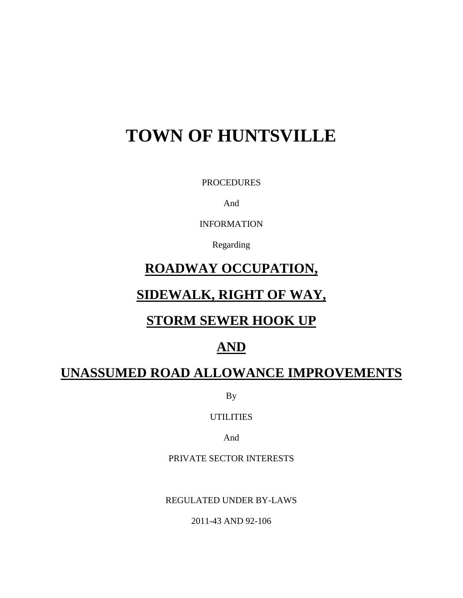# **TOWN OF HUNTSVILLE**

PROCEDURES

And

INFORMATION

Regarding

# **ROADWAY OCCUPATION,**

# **SIDEWALK, RIGHT OF WAY,**

# **STORM SEWER HOOK UP**

# **AND**

# **UNASSUMED ROAD ALLOWANCE IMPROVEMENTS**

By

UTILITIES

And

PRIVATE SECTOR INTERESTS

REGULATED UNDER BY-LAWS

2011-43 AND 92-106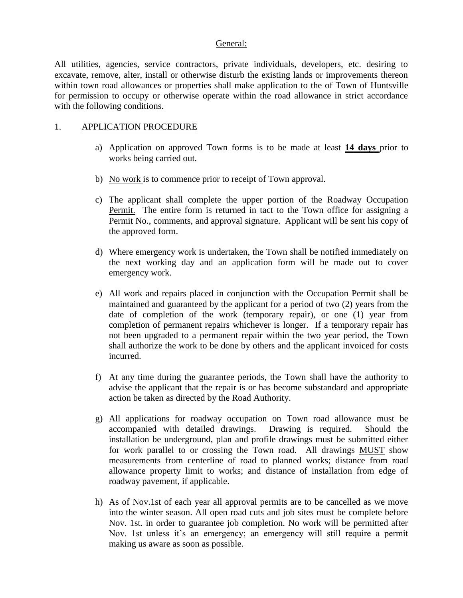#### General:

All utilities, agencies, service contractors, private individuals, developers, etc. desiring to excavate, remove, alter, install or otherwise disturb the existing lands or improvements thereon within town road allowances or properties shall make application to the of Town of Huntsville for permission to occupy or otherwise operate within the road allowance in strict accordance with the following conditions.

#### 1. APPLICATION PROCEDURE

- a) Application on approved Town forms is to be made at least **14 days** prior to works being carried out.
- b) No work is to commence prior to receipt of Town approval.
- c) The applicant shall complete the upper portion of the Roadway Occupation Permit. The entire form is returned in tact to the Town office for assigning a Permit No., comments, and approval signature. Applicant will be sent his copy of the approved form.
- d) Where emergency work is undertaken, the Town shall be notified immediately on the next working day and an application form will be made out to cover emergency work.
- e) All work and repairs placed in conjunction with the Occupation Permit shall be maintained and guaranteed by the applicant for a period of two (2) years from the date of completion of the work (temporary repair), or one (1) year from completion of permanent repairs whichever is longer. If a temporary repair has not been upgraded to a permanent repair within the two year period, the Town shall authorize the work to be done by others and the applicant invoiced for costs incurred.
- f) At any time during the guarantee periods, the Town shall have the authority to advise the applicant that the repair is or has become substandard and appropriate action be taken as directed by the Road Authority.
- g) All applications for roadway occupation on Town road allowance must be accompanied with detailed drawings. Drawing is required. Should the installation be underground, plan and profile drawings must be submitted either for work parallel to or crossing the Town road. All drawings MUST show measurements from centerline of road to planned works; distance from road allowance property limit to works; and distance of installation from edge of roadway pavement, if applicable.
- h) As of Nov.1st of each year all approval permits are to be cancelled as we move into the winter season. All open road cuts and job sites must be complete before Nov. 1st. in order to guarantee job completion. No work will be permitted after Nov. 1st unless it's an emergency; an emergency will still require a permit making us aware as soon as possible.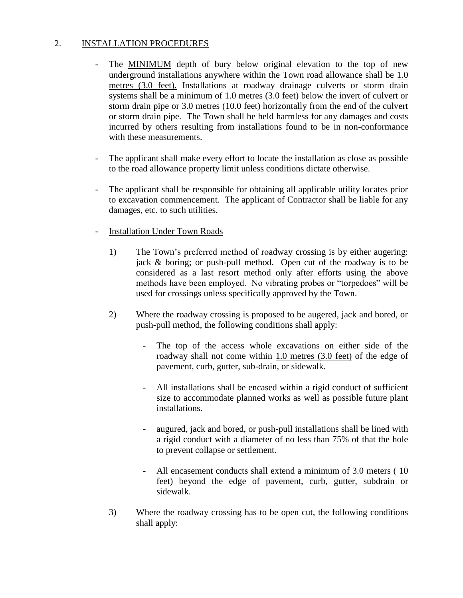### 2. INSTALLATION PROCEDURES

- The MINIMUM depth of bury below original elevation to the top of new underground installations anywhere within the Town road allowance shall be 1.0 metres (3.0 feet). Installations at roadway drainage culverts or storm drain systems shall be a minimum of 1.0 metres (3.0 feet) below the invert of culvert or storm drain pipe or 3.0 metres (10.0 feet) horizontally from the end of the culvert or storm drain pipe. The Town shall be held harmless for any damages and costs incurred by others resulting from installations found to be in non-conformance with these measurements.
- The applicant shall make every effort to locate the installation as close as possible to the road allowance property limit unless conditions dictate otherwise.
- The applicant shall be responsible for obtaining all applicable utility locates prior to excavation commencement. The applicant of Contractor shall be liable for any damages, etc. to such utilities.
- Installation Under Town Roads
	- 1) The Town's preferred method of roadway crossing is by either augering: jack & boring; or push-pull method. Open cut of the roadway is to be considered as a last resort method only after efforts using the above methods have been employed. No vibrating probes or "torpedoes" will be used for crossings unless specifically approved by the Town.
	- 2) Where the roadway crossing is proposed to be augered, jack and bored, or push-pull method, the following conditions shall apply:
		- The top of the access whole excavations on either side of the roadway shall not come within 1.0 metres (3.0 feet) of the edge of pavement, curb, gutter, sub-drain, or sidewalk.
		- All installations shall be encased within a rigid conduct of sufficient size to accommodate planned works as well as possible future plant installations.
		- augured, jack and bored, or push-pull installations shall be lined with a rigid conduct with a diameter of no less than 75% of that the hole to prevent collapse or settlement.
		- All encasement conducts shall extend a minimum of 3.0 meters ( 10 feet) beyond the edge of pavement, curb, gutter, subdrain or sidewalk.
	- 3) Where the roadway crossing has to be open cut, the following conditions shall apply: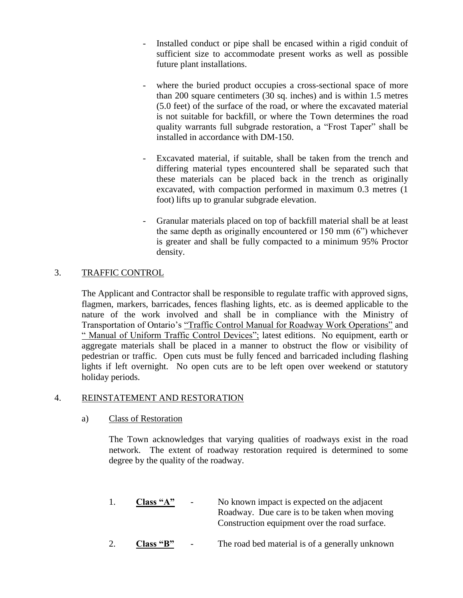- Installed conduct or pipe shall be encased within a rigid conduit of sufficient size to accommodate present works as well as possible future plant installations.
- where the buried product occupies a cross-sectional space of more than 200 square centimeters (30 sq. inches) and is within 1.5 metres (5.0 feet) of the surface of the road, or where the excavated material is not suitable for backfill, or where the Town determines the road quality warrants full subgrade restoration, a "Frost Taper" shall be installed in accordance with DM-150.
- Excavated material, if suitable, shall be taken from the trench and differing material types encountered shall be separated such that these materials can be placed back in the trench as originally excavated, with compaction performed in maximum 0.3 metres (1 foot) lifts up to granular subgrade elevation.
- Granular materials placed on top of backfill material shall be at least the same depth as originally encountered or 150 mm (6") whichever is greater and shall be fully compacted to a minimum 95% Proctor density.

## 3. TRAFFIC CONTROL

The Applicant and Contractor shall be responsible to regulate traffic with approved signs, flagmen, markers, barricades, fences flashing lights, etc. as is deemed applicable to the nature of the work involved and shall be in compliance with the Ministry of Transportation of Ontario's "Traffic Control Manual for Roadway Work Operations" and " Manual of Uniform Traffic Control Devices"; latest editions. No equipment, earth or aggregate materials shall be placed in a manner to obstruct the flow or visibility of pedestrian or traffic. Open cuts must be fully fenced and barricaded including flashing lights if left overnight. No open cuts are to be left open over weekend or statutory holiday periods.

### 4. REINSTATEMENT AND RESTORATION

#### a) Class of Restoration

The Town acknowledges that varying qualities of roadways exist in the road network. The extent of roadway restoration required is determined to some degree by the quality of the roadway.

- 1. **Class "A"** No known impact is expected on the adjacent Roadway. Due care is to be taken when moving Construction equipment over the road surface.
- 2. **Class "B"** The road bed material is of a generally unknown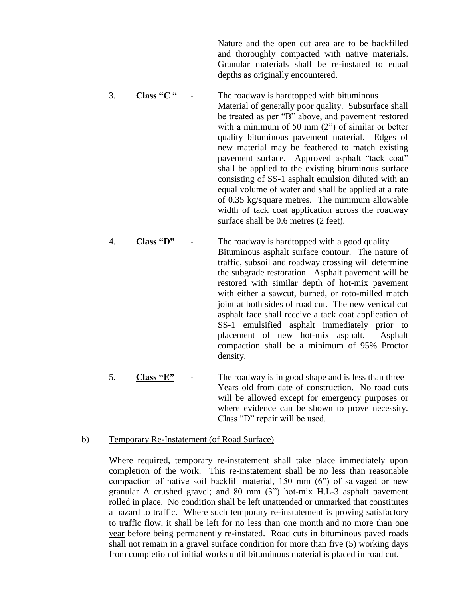Nature and the open cut area are to be backfilled and thoroughly compacted with native materials. Granular materials shall be re-instated to equal depths as originally encountered.

- 3. **Class "C "** The roadway is hardtopped with bituminous Material of generally poor quality. Subsurface shall be treated as per "B" above, and pavement restored with a minimum of 50 mm  $(2)$  of similar or better quality bituminous pavement material. Edges of new material may be feathered to match existing pavement surface. Approved asphalt "tack coat" shall be applied to the existing bituminous surface consisting of SS-1 asphalt emulsion diluted with an equal volume of water and shall be applied at a rate of 0.35 kg/square metres. The minimum allowable width of tack coat application across the roadway surface shall be 0.6 metres (2 feet).
- 4. **Class "D"** The roadway is hardtopped with a good quality Bituminous asphalt surface contour. The nature of traffic, subsoil and roadway crossing will determine the subgrade restoration. Asphalt pavement will be restored with similar depth of hot-mix pavement with either a sawcut, burned, or roto-milled match joint at both sides of road cut. The new vertical cut asphalt face shall receive a tack coat application of SS-1 emulsified asphalt immediately prior to placement of new hot-mix asphalt. Asphalt compaction shall be a minimum of 95% Proctor density.
	- 5. **Class "E"** The roadway is in good shape and is less than three Years old from date of construction. No road cuts will be allowed except for emergency purposes or where evidence can be shown to prove necessity. Class "D" repair will be used.

#### b) Temporary Re-Instatement (of Road Surface)

Where required, temporary re-instatement shall take place immediately upon completion of the work. This re-instatement shall be no less than reasonable compaction of native soil backfill material, 150 mm (6") of salvaged or new granular A crushed gravel; and 80 mm (3") hot-mix H.L-3 asphalt pavement rolled in place. No condition shall be left unattended or unmarked that constitutes a hazard to traffic. Where such temporary re-instatement is proving satisfactory to traffic flow, it shall be left for no less than one month and no more than one year before being permanently re-instated. Road cuts in bituminous paved roads shall not remain in a gravel surface condition for more than five (5) working days from completion of initial works until bituminous material is placed in road cut.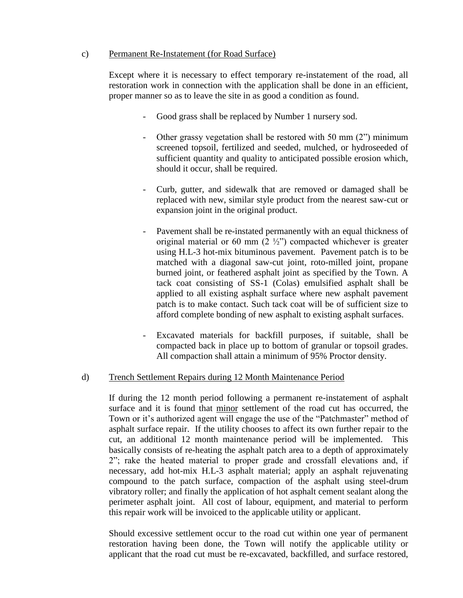#### c) Permanent Re-Instatement (for Road Surface)

Except where it is necessary to effect temporary re-instatement of the road, all restoration work in connection with the application shall be done in an efficient, proper manner so as to leave the site in as good a condition as found.

- Good grass shall be replaced by Number 1 nursery sod.
- Other grassy vegetation shall be restored with 50 mm (2") minimum screened topsoil, fertilized and seeded, mulched, or hydroseeded of sufficient quantity and quality to anticipated possible erosion which, should it occur, shall be required.
- Curb, gutter, and sidewalk that are removed or damaged shall be replaced with new, similar style product from the nearest saw-cut or expansion joint in the original product.
- Pavement shall be re-instated permanently with an equal thickness of original material or 60 mm  $(2 \frac{1}{2})$  compacted whichever is greater using H.L-3 hot-mix bituminous pavement. Pavement patch is to be matched with a diagonal saw-cut joint, roto-milled joint, propane burned joint, or feathered asphalt joint as specified by the Town. A tack coat consisting of SS-1 (Colas) emulsified asphalt shall be applied to all existing asphalt surface where new asphalt pavement patch is to make contact. Such tack coat will be of sufficient size to afford complete bonding of new asphalt to existing asphalt surfaces.
- Excavated materials for backfill purposes, if suitable, shall be compacted back in place up to bottom of granular or topsoil grades. All compaction shall attain a minimum of 95% Proctor density.

### d) Trench Settlement Repairs during 12 Month Maintenance Period

If during the 12 month period following a permanent re-instatement of asphalt surface and it is found that minor settlement of the road cut has occurred, the Town or it's authorized agent will engage the use of the "Patchmaster" method of asphalt surface repair. If the utility chooses to affect its own further repair to the cut, an additional 12 month maintenance period will be implemented. This basically consists of re-heating the asphalt patch area to a depth of approximately 2"; rake the heated material to proper grade and crossfall elevations and, if necessary, add hot-mix H.L-3 asphalt material; apply an asphalt rejuvenating compound to the patch surface, compaction of the asphalt using steel-drum vibratory roller; and finally the application of hot asphalt cement sealant along the perimeter asphalt joint. All cost of labour, equipment, and material to perform this repair work will be invoiced to the applicable utility or applicant.

Should excessive settlement occur to the road cut within one year of permanent restoration having been done, the Town will notify the applicable utility or applicant that the road cut must be re-excavated, backfilled, and surface restored,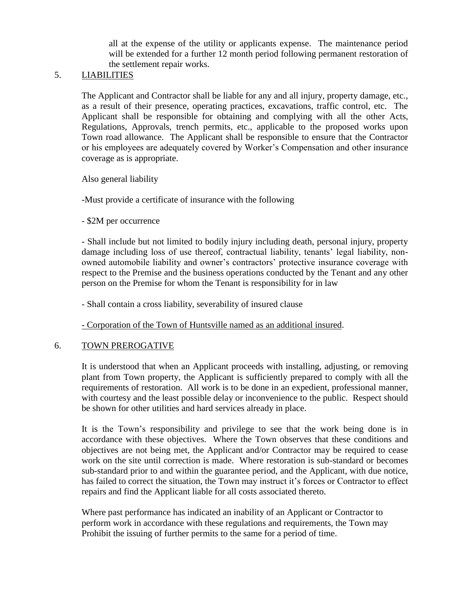all at the expense of the utility or applicants expense. The maintenance period will be extended for a further 12 month period following permanent restoration of the settlement repair works.

### 5. LIABILITIES

The Applicant and Contractor shall be liable for any and all injury, property damage, etc., as a result of their presence, operating practices, excavations, traffic control, etc. The Applicant shall be responsible for obtaining and complying with all the other Acts, Regulations, Approvals, trench permits, etc., applicable to the proposed works upon Town road allowance. The Applicant shall be responsible to ensure that the Contractor or his employees are adequately covered by Worker's Compensation and other insurance coverage as is appropriate.

Also general liability

-Must provide a certificate of insurance with the following

- \$2M per occurrence

- Shall include but not limited to bodily injury including death, personal injury, property damage including loss of use thereof, contractual liability, tenants' legal liability, nonowned automobile liability and owner's contractors' protective insurance coverage with respect to the Premise and the business operations conducted by the Tenant and any other person on the Premise for whom the Tenant is responsibility for in law

- Shall contain a cross liability, severability of insured clause

- Corporation of the Town of Huntsville named as an additional insured.

#### 6. TOWN PREROGATIVE

It is understood that when an Applicant proceeds with installing, adjusting, or removing plant from Town property, the Applicant is sufficiently prepared to comply with all the requirements of restoration. All work is to be done in an expedient, professional manner, with courtesy and the least possible delay or inconvenience to the public. Respect should be shown for other utilities and hard services already in place.

It is the Town's responsibility and privilege to see that the work being done is in accordance with these objectives. Where the Town observes that these conditions and objectives are not being met, the Applicant and/or Contractor may be required to cease work on the site until correction is made. Where restoration is sub-standard or becomes sub-standard prior to and within the guarantee period, and the Applicant, with due notice, has failed to correct the situation, the Town may instruct it's forces or Contractor to effect repairs and find the Applicant liable for all costs associated thereto.

Where past performance has indicated an inability of an Applicant or Contractor to perform work in accordance with these regulations and requirements, the Town may Prohibit the issuing of further permits to the same for a period of time.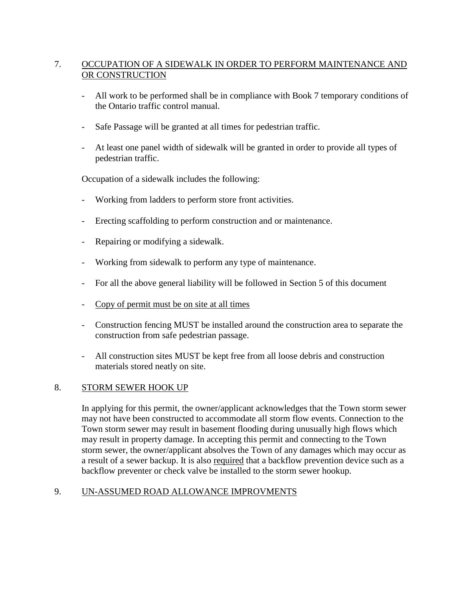## 7. OCCUPATION OF A SIDEWALK IN ORDER TO PERFORM MAINTENANCE AND OR CONSTRUCTION

- All work to be performed shall be in compliance with Book 7 temporary conditions of the Ontario traffic control manual.
- Safe Passage will be granted at all times for pedestrian traffic.
- At least one panel width of sidewalk will be granted in order to provide all types of pedestrian traffic.

Occupation of a sidewalk includes the following:

- Working from ladders to perform store front activities.
- Erecting scaffolding to perform construction and or maintenance.
- Repairing or modifying a sidewalk.
- Working from sidewalk to perform any type of maintenance.
- For all the above general liability will be followed in Section 5 of this document
- Copy of permit must be on site at all times
- Construction fencing MUST be installed around the construction area to separate the construction from safe pedestrian passage.
- All construction sites MUST be kept free from all loose debris and construction materials stored neatly on site.

### 8. STORM SEWER HOOK UP

In applying for this permit, the owner/applicant acknowledges that the Town storm sewer may not have been constructed to accommodate all storm flow events. Connection to the Town storm sewer may result in basement flooding during unusually high flows which may result in property damage. In accepting this permit and connecting to the Town storm sewer, the owner/applicant absolves the Town of any damages which may occur as a result of a sewer backup. It is also required that a backflow prevention device such as a backflow preventer or check valve be installed to the storm sewer hookup.

# 9. UN-ASSUMED ROAD ALLOWANCE IMPROVMENTS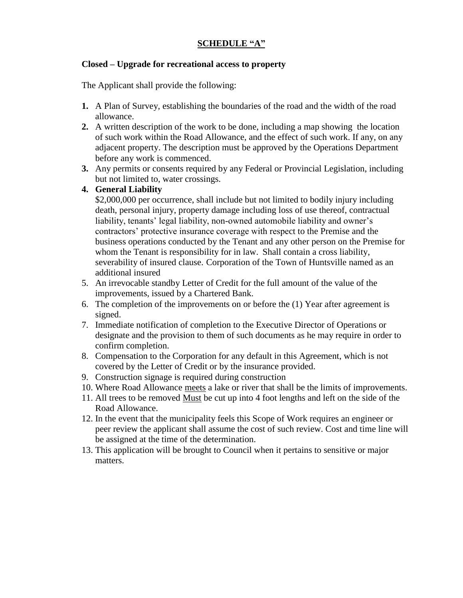# **SCHEDULE "A"**

#### **Closed – Upgrade for recreational access to property**

The Applicant shall provide the following:

- **1.** A Plan of Survey, establishing the boundaries of the road and the width of the road allowance.
- **2.** A written description of the work to be done, including a map showing the location of such work within the Road Allowance, and the effect of such work. If any, on any adjacent property. The description must be approved by the Operations Department before any work is commenced.
- **3.** Any permits or consents required by any Federal or Provincial Legislation, including but not limited to, water crossings.

#### **4. General Liability**

\$2,000,000 per occurrence, shall include but not limited to bodily injury including death, personal injury, property damage including loss of use thereof, contractual liability, tenants' legal liability, non-owned automobile liability and owner's contractors' protective insurance coverage with respect to the Premise and the business operations conducted by the Tenant and any other person on the Premise for whom the Tenant is responsibility for in law. Shall contain a cross liability, severability of insured clause. Corporation of the Town of Huntsville named as an additional insured

- 5. An irrevocable standby Letter of Credit for the full amount of the value of the improvements, issued by a Chartered Bank.
- 6. The completion of the improvements on or before the (1) Year after agreement is signed.
- 7. Immediate notification of completion to the Executive Director of Operations or designate and the provision to them of such documents as he may require in order to confirm completion.
- 8. Compensation to the Corporation for any default in this Agreement, which is not covered by the Letter of Credit or by the insurance provided.
- 9. Construction signage is required during construction
- 10. Where Road Allowance meets a lake or river that shall be the limits of improvements.
- 11. All trees to be removed Must be cut up into 4 foot lengths and left on the side of the Road Allowance.
- 12. In the event that the municipality feels this Scope of Work requires an engineer or peer review the applicant shall assume the cost of such review. Cost and time line will be assigned at the time of the determination.
- 13. This application will be brought to Council when it pertains to sensitive or major matters.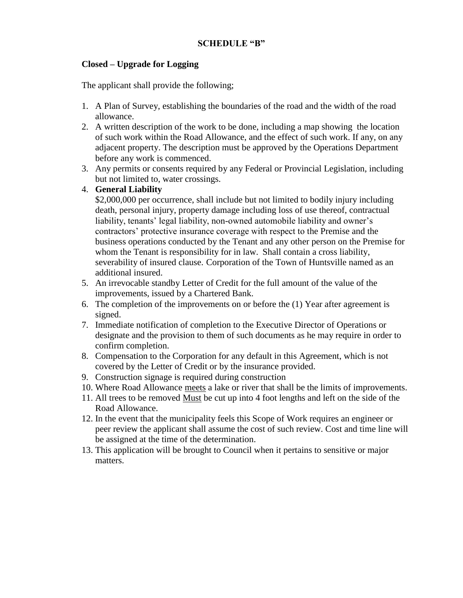### **Closed – Upgrade for Logging**

The applicant shall provide the following;

- 1. A Plan of Survey, establishing the boundaries of the road and the width of the road allowance.
- 2. A written description of the work to be done, including a map showing the location of such work within the Road Allowance, and the effect of such work. If any, on any adjacent property. The description must be approved by the Operations Department before any work is commenced.
- 3. Any permits or consents required by any Federal or Provincial Legislation, including but not limited to, water crossings.

### 4. **General Liability**

\$2,000,000 per occurrence, shall include but not limited to bodily injury including death, personal injury, property damage including loss of use thereof, contractual liability, tenants' legal liability, non-owned automobile liability and owner's contractors' protective insurance coverage with respect to the Premise and the business operations conducted by the Tenant and any other person on the Premise for whom the Tenant is responsibility for in law. Shall contain a cross liability, severability of insured clause. Corporation of the Town of Huntsville named as an additional insured.

- 5. An irrevocable standby Letter of Credit for the full amount of the value of the improvements, issued by a Chartered Bank.
- 6. The completion of the improvements on or before the (1) Year after agreement is signed.
- 7. Immediate notification of completion to the Executive Director of Operations or designate and the provision to them of such documents as he may require in order to confirm completion.
- 8. Compensation to the Corporation for any default in this Agreement, which is not covered by the Letter of Credit or by the insurance provided.
- 9. Construction signage is required during construction
- 10. Where Road Allowance meets a lake or river that shall be the limits of improvements.
- 11. All trees to be removed Must be cut up into 4 foot lengths and left on the side of the Road Allowance.
- 12. In the event that the municipality feels this Scope of Work requires an engineer or peer review the applicant shall assume the cost of such review. Cost and time line will be assigned at the time of the determination.
- 13. This application will be brought to Council when it pertains to sensitive or major matters.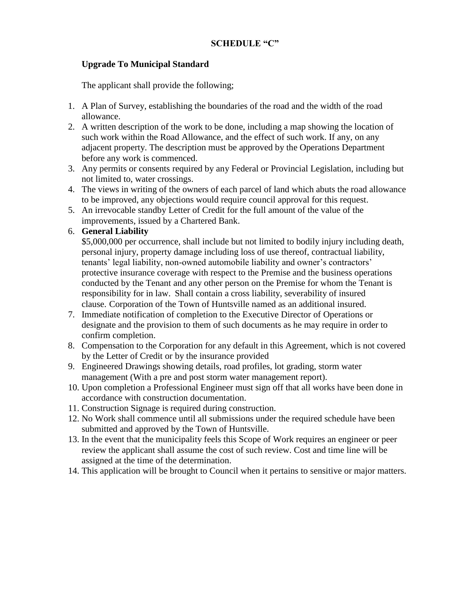### **Upgrade To Municipal Standard**

The applicant shall provide the following;

- 1. A Plan of Survey, establishing the boundaries of the road and the width of the road allowance.
- 2. A written description of the work to be done, including a map showing the location of such work within the Road Allowance, and the effect of such work. If any, on any adjacent property. The description must be approved by the Operations Department before any work is commenced.
- 3. Any permits or consents required by any Federal or Provincial Legislation, including but not limited to, water crossings.
- 4. The views in writing of the owners of each parcel of land which abuts the road allowance to be improved, any objections would require council approval for this request.
- 5. An irrevocable standby Letter of Credit for the full amount of the value of the improvements, issued by a Chartered Bank.
- 6. **General Liability**

\$5,000,000 per occurrence, shall include but not limited to bodily injury including death, personal injury, property damage including loss of use thereof, contractual liability, tenants' legal liability, non-owned automobile liability and owner's contractors' protective insurance coverage with respect to the Premise and the business operations conducted by the Tenant and any other person on the Premise for whom the Tenant is responsibility for in law. Shall contain a cross liability, severability of insured clause. Corporation of the Town of Huntsville named as an additional insured.

- 7. Immediate notification of completion to the Executive Director of Operations or designate and the provision to them of such documents as he may require in order to confirm completion.
- 8. Compensation to the Corporation for any default in this Agreement, which is not covered by the Letter of Credit or by the insurance provided
- 9. Engineered Drawings showing details, road profiles, lot grading, storm water management (With a pre and post storm water management report).
- 10. Upon completion a Professional Engineer must sign off that all works have been done in accordance with construction documentation.
- 11. Construction Signage is required during construction.
- 12. No Work shall commence until all submissions under the required schedule have been submitted and approved by the Town of Huntsville.
- 13. In the event that the municipality feels this Scope of Work requires an engineer or peer review the applicant shall assume the cost of such review. Cost and time line will be assigned at the time of the determination.
- 14. This application will be brought to Council when it pertains to sensitive or major matters.